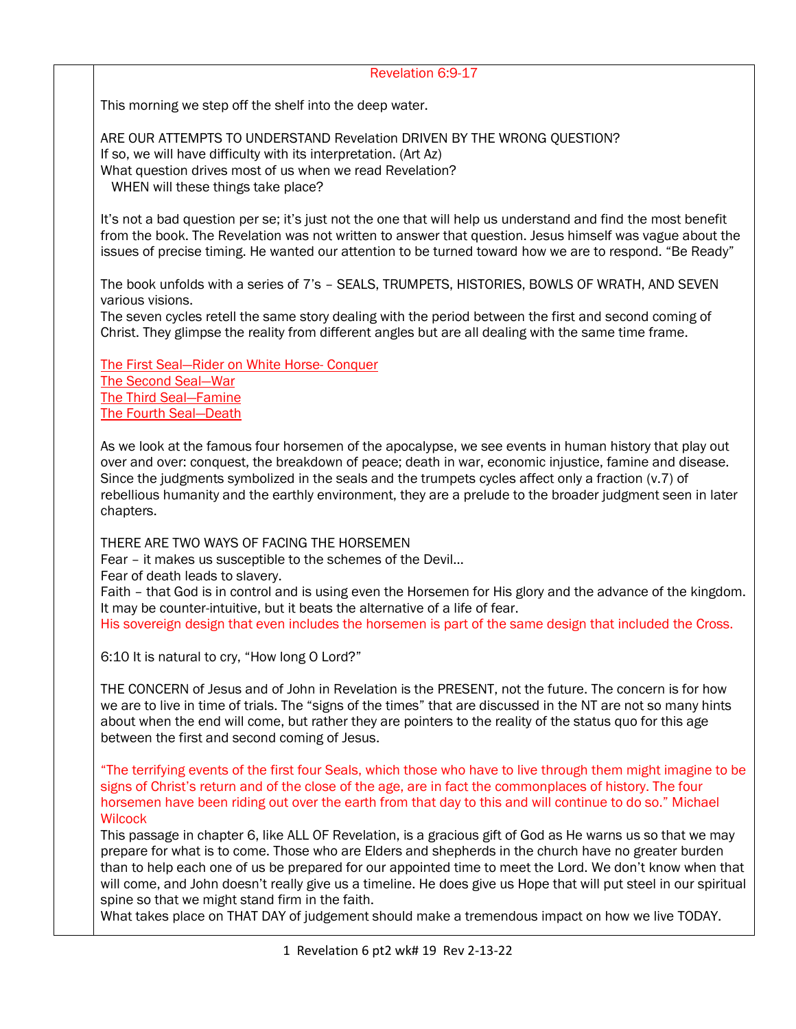## Revelation 6:9-17

This morning we step off the shelf into the deep water.

ARE OUR ATTEMPTS TO UNDERSTAND Revelation DRIVEN BY THE WRONG QUESTION? If so, we will have difficulty with its interpretation. (Art Az) What question drives most of us when we read Revelation? WHEN will these things take place?

It's not a bad question per se; it's just not the one that will help us understand and find the most benefit from the book. The Revelation was not written to answer that question. Jesus himself was vague about the issues of precise timing. He wanted our attention to be turned toward how we are to respond. "Be Ready"

The book unfolds with a series of 7's – SEALS, TRUMPETS, HISTORIES, BOWLS OF WRATH, AND SEVEN various visions.

The seven cycles retell the same story dealing with the period between the first and second coming of Christ. They glimpse the reality from different angles but are all dealing with the same time frame.

The First Seal—Rider on White Horse- Conquer The Second Seal—War The Third Seal—Famine The Fourth Seal—Death

As we look at the famous four horsemen of the apocalypse, we see events in human history that play out over and over: conquest, the breakdown of peace; death in war, economic injustice, famine and disease. Since the judgments symbolized in the seals and the trumpets cycles affect only a fraction (v.7) of rebellious humanity and the earthly environment, they are a prelude to the broader judgment seen in later chapters.

THERE ARE TWO WAYS OF FACING THE HORSEMEN

Fear – it makes us susceptible to the schemes of the Devil…

Fear of death leads to slavery.

Faith – that God is in control and is using even the Horsemen for His glory and the advance of the kingdom. It may be counter-intuitive, but it beats the alternative of a life of fear. His sovereign design that even includes the horsemen is part of the same design that included the Cross.

6:10 It is natural to cry, "How long O Lord?"

THE CONCERN of Jesus and of John in Revelation is the PRESENT, not the future. The concern is for how we are to live in time of trials. The "signs of the times" that are discussed in the NT are not so many hints about when the end will come, but rather they are pointers to the reality of the status quo for this age between the first and second coming of Jesus.

"The terrifying events of the first four Seals, which those who have to live through them might imagine to be signs of Christ's return and of the close of the age, are in fact the commonplaces of history. The four horsemen have been riding out over the earth from that day to this and will continue to do so." Michael **Wilcock** 

This passage in chapter 6, like ALL OF Revelation, is a gracious gift of God as He warns us so that we may prepare for what is to come. Those who are Elders and shepherds in the church have no greater burden than to help each one of us be prepared for our appointed time to meet the Lord. We don't know when that will come, and John doesn't really give us a timeline. He does give us Hope that will put steel in our spiritual spine so that we might stand firm in the faith.

What takes place on THAT DAY of judgement should make a tremendous impact on how we live TODAY.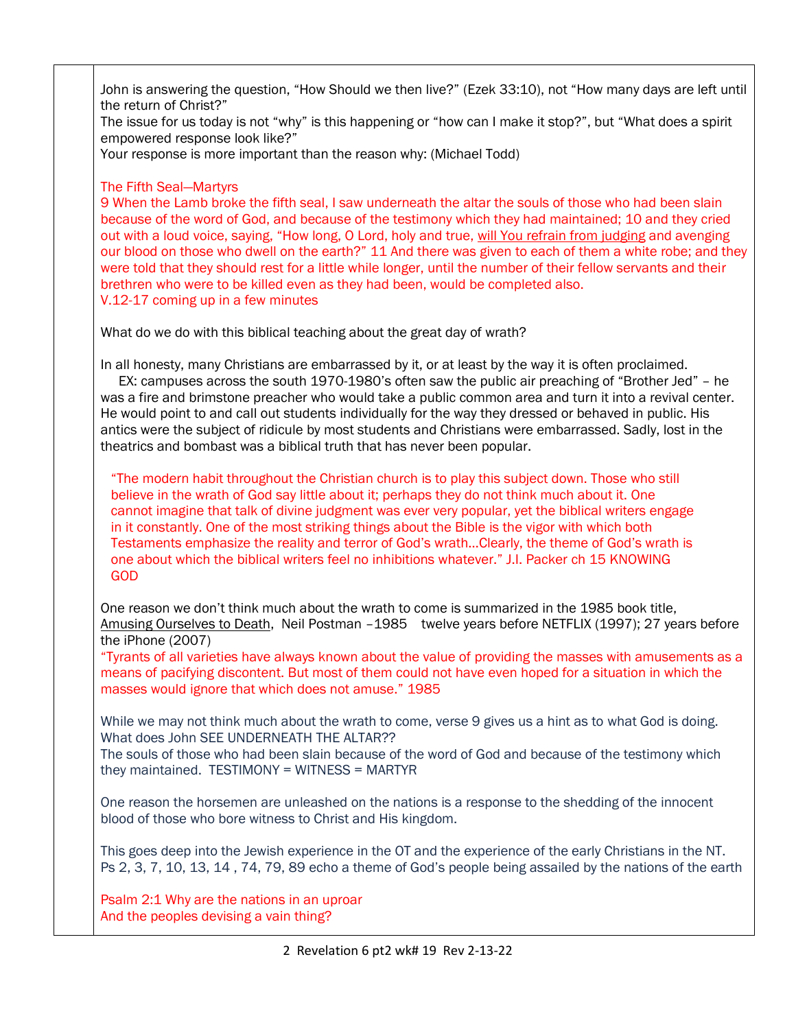John is answering the question, "How Should we then live?" (Ezek 33:10), not "How many days are left until the return of Christ?"

The issue for us today is not "why" is this happening or "how can I make it stop?", but "What does a spirit empowered response look like?"

Your response is more important than the reason why: (Michael Todd)

The Fifth Seal—Martyrs

9 When the Lamb broke the fifth seal, I saw underneath the altar the souls of those who had been slain because of the word of God, and because of the testimony which they had maintained; 10 and they cried out with a loud voice, saying, "How long, O Lord, holy and true, will You refrain from judging and avenging our blood on those who dwell on the earth?" 11 And there was given to each of them a white robe; and they were told that they should rest for a little while longer, until the number of their fellow servants and their brethren who were to be killed even as they had been, would be completed also. V.12-17 coming up in a few minutes

What do we do with this biblical teaching about the great day of wrath?

In all honesty, many Christians are embarrassed by it, or at least by the way it is often proclaimed.

 EX: campuses across the south 1970-1980's often saw the public air preaching of "Brother Jed" – he was a fire and brimstone preacher who would take a public common area and turn it into a revival center. He would point to and call out students individually for the way they dressed or behaved in public. His antics were the subject of ridicule by most students and Christians were embarrassed. Sadly, lost in the theatrics and bombast was a biblical truth that has never been popular.

"The modern habit throughout the Christian church is to play this subject down. Those who still believe in the wrath of God say little about it; perhaps they do not think much about it. One cannot imagine that talk of divine judgment was ever very popular, yet the biblical writers engage in it constantly. One of the most striking things about the Bible is the vigor with which both Testaments emphasize the reality and terror of God's wrath…Clearly, the theme of God's wrath is one about which the biblical writers feel no inhibitions whatever." J.I. Packer ch 15 KNOWING GOD

One reason we don't think much about the wrath to come is summarized in the 1985 book title, Amusing Ourselves to Death, Neil Postman -1985 twelve years before NETFLIX (1997); 27 years before the iPhone (2007)

"Tyrants of all varieties have always known about the value of providing the masses with amusements as a means of pacifying discontent. But most of them could not have even hoped for a situation in which the masses would ignore that which does not amuse." 1985

While we may not think much about the wrath to come, verse 9 gives us a hint as to what God is doing. What does John SEE UNDERNEATH THE ALTAR??

The souls of those who had been slain because of the word of God and because of the testimony which they maintained. TESTIMONY = WITNESS = MARTYR

One reason the horsemen are unleashed on the nations is a response to the shedding of the innocent blood of those who bore witness to Christ and His kingdom.

This goes deep into the Jewish experience in the OT and the experience of the early Christians in the NT. Ps 2, 3, 7, 10, 13, 14 , 74, 79, 89 echo a theme of God's people being assailed by the nations of the earth

Psalm 2:1 Why are the nations in an uproar And the peoples devising a vain thing?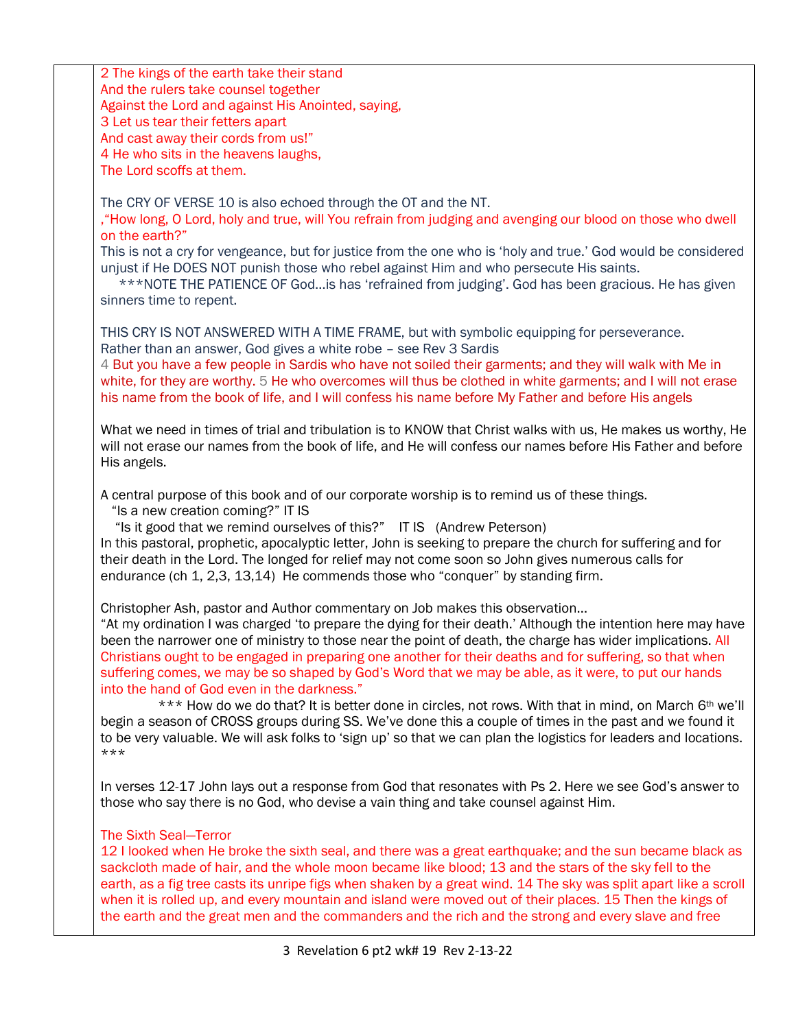| 2 The kings of the earth take their stand                                                                        |
|------------------------------------------------------------------------------------------------------------------|
| And the rulers take counsel together                                                                             |
| Against the Lord and against His Anointed, saying,                                                               |
| 3 Let us tear their fetters apart                                                                                |
| And cast away their cords from us!"                                                                              |
| 4 He who sits in the heavens laughs,                                                                             |
|                                                                                                                  |
| The Lord scoffs at them.                                                                                         |
|                                                                                                                  |
| The CRY OF VERSE 10 is also echoed through the OT and the NT.                                                    |
| "How long, O Lord, holy and true, will You refrain from judging and avenging our blood on those who dwell        |
| on the earth?"                                                                                                   |
| This is not a cry for vengeance, but for justice from the one who is 'holy and true.' God would be considered    |
| unjust if He DOES NOT punish those who rebel against Him and who persecute His saints.                           |
| ***NOTE THE PATIENCE OF Godis has 'refrained from judging'. God has been gracious. He has given                  |
| sinners time to repent.                                                                                          |
|                                                                                                                  |
| THIS CRY IS NOT ANSWERED WITH A TIME FRAME, but with symbolic equipping for perseverance.                        |
| Rather than an answer, God gives a white robe - see Rev 3 Sardis                                                 |
| 4 But you have a few people in Sardis who have not soiled their garments; and they will walk with Me in          |
| white, for they are worthy. 5 He who overcomes will thus be clothed in white garments; and I will not erase      |
| his name from the book of life, and I will confess his name before My Father and before His angels               |
|                                                                                                                  |
| What we need in times of trial and tribulation is to KNOW that Christ walks with us, He makes us worthy, He      |
| will not erase our names from the book of life, and He will confess our names before His Father and before       |
| His angels.                                                                                                      |
|                                                                                                                  |
| A central purpose of this book and of our corporate worship is to remind us of these things.                     |
| "Is a new creation coming?" IT IS                                                                                |
| "Is it good that we remind ourselves of this?" IT IS (Andrew Peterson)                                           |
| In this pastoral, prophetic, apocalyptic letter, John is seeking to prepare the church for suffering and for     |
| their death in the Lord. The longed for relief may not come soon so John gives numerous calls for                |
| endurance (ch 1, 2,3, 13,14) He commends those who "conquer" by standing firm.                                   |
|                                                                                                                  |
|                                                                                                                  |
| Christopher Ash, pastor and Author commentary on Job makes this observation                                      |
| "At my ordination I was charged 'to prepare the dying for their death.' Although the intention here may have     |
| been the narrower one of ministry to those near the point of death, the charge has wider implications. All       |
| Christians ought to be engaged in preparing one another for their deaths and for suffering, so that when         |
| suffering comes, we may be so shaped by God's Word that we may be able, as it were, to put our hands             |
| into the hand of God even in the darkness."                                                                      |
| *** How do we do that? It is better done in circles, not rows. With that in mind, on March 6th we'll             |
| begin a season of CROSS groups during SS. We've done this a couple of times in the past and we found it          |
| to be very valuable. We will ask folks to 'sign up' so that we can plan the logistics for leaders and locations. |
| ***                                                                                                              |
|                                                                                                                  |
| In verses 12-17 John lays out a response from God that resonates with Ps 2. Here we see God's answer to          |
| those who say there is no God, who devise a vain thing and take counsel against Him.                             |
|                                                                                                                  |
| <b>The Sixth Seal-Terror</b>                                                                                     |
| 12 I looked when He broke the sixth seal, and there was a great earthquake; and the sun became black as          |
| sackcloth made of hair, and the whole moon became like blood; 13 and the stars of the sky fell to the            |
| earth, as a fig tree casts its unripe figs when shaken by a great wind. 14 The sky was split apart like a scroll |
| when it is rolled up, and every mountain and island were moved out of their places. 15 Then the kings of         |
| the earth and the great men and the commanders and the rich and the strong and every slave and free              |
|                                                                                                                  |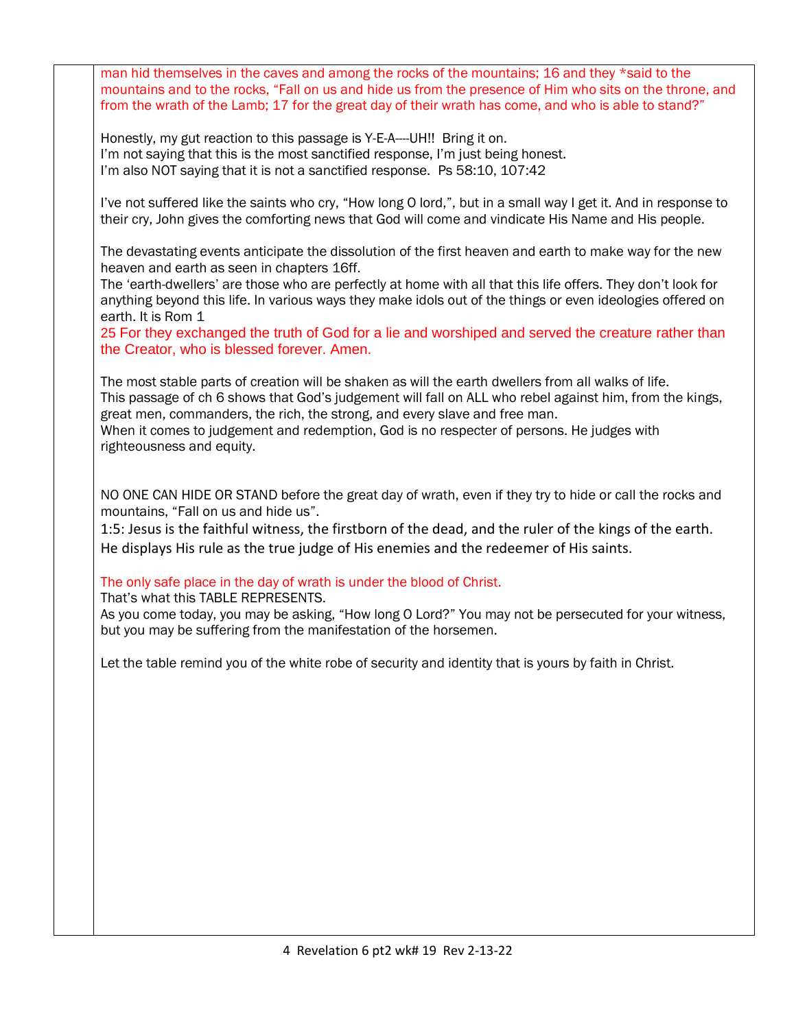man hid themselves in the caves and among the rocks of the mountains; 16 and they \*said to the mountains and to the rocks, "Fall on us and hide us from the presence of Him who sits on the throne, and from the wrath of the Lamb; 17 for the great day of their wrath has come, and who is able to stand?" Honestly, my gut reaction to this passage is Y-E-A----UH!! Bring it on. I'm not saying that this is the most sanctified response, I'm just being honest. I'm also NOT saying that it is not a sanctified response. Ps 58:10, 107:42 I've not suffered like the saints who cry, "How long O lord,", but in a small way I get it. And in response to their cry, John gives the comforting news that God will come and vindicate His Name and His people. The devastating events anticipate the dissolution of the first heaven and earth to make way for the new heaven and earth as seen in chapters 16ff. The 'earth-dwellers' are those who are perfectly at home with all that this life offers. They don't look for anything beyond this life. In various ways they make idols out of the things or even ideologies offered on earth. It is Rom 1 25 For they exchanged the truth of God for a lie and worshiped and served the creature rather than the Creator, who is blessed forever. Amen. The most stable parts of creation will be shaken as will the earth dwellers from all walks of life. This passage of ch 6 shows that God's judgement will fall on ALL who rebel against him, from the kings, great men, commanders, the rich, the strong, and every slave and free man. When it comes to judgement and redemption, God is no respecter of persons. He judges with righteousness and equity. NO ONE CAN HIDE OR STAND before the great day of wrath, even if they try to hide or call the rocks and mountains, "Fall on us and hide us". 1:5: Jesus is the faithful witness, the firstborn of the dead, and the ruler of the kings of the earth. He displays His rule as the true judge of His enemies and the redeemer of His saints. The only safe place in the day of wrath is under the blood of Christ. That's what this TABLE REPRESENTS. As you come today, you may be asking, "How long O Lord?" You may not be persecuted for your witness, but you may be suffering from the manifestation of the horsemen. Let the table remind you of the white robe of security and identity that is yours by faith in Christ.